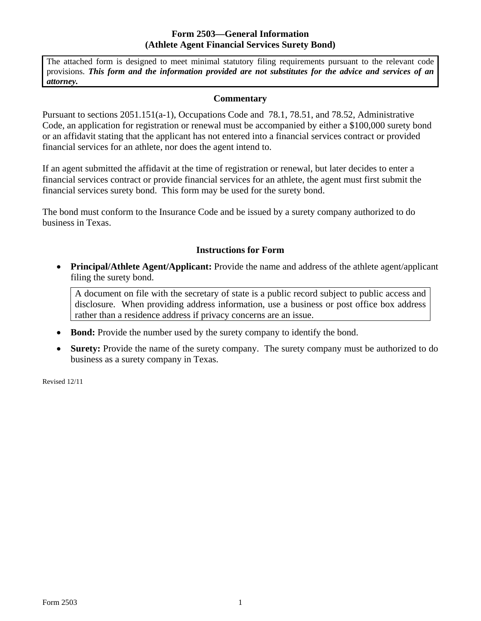## **Form 2503—General Information (Athlete Agent Financial Services Surety Bond)**

The attached form is designed to meet minimal statutory filing requirements pursuant to the relevant code provisions. *This form and the information provided are not substitutes for the advice and services of an attorney.* 

## **Commentary**

Pursuant to sections 2051.151(a-1), Occupations Code and 78.1, 78.51, and 78.52, Administrative Code, an application for registration or renewal must be accompanied by either a \$100,000 surety bond or an affidavit stating that the applicant has not entered into a financial services contract or provided financial services for an athlete, nor does the agent intend to.

If an agent submitted the affidavit at the time of registration or renewal, but later decides to enter a financial services contract or provide financial services for an athlete, the agent must first submit the financial services surety bond. This form may be used for the surety bond.

The bond must conform to the Insurance Code and be issued by a surety company authorized to do business in Texas.

## **Instructions for Form**

• Principal/Athlete Agent/Applicant: Provide the name and address of the athlete agent/applicant filing the surety bond.

A document on file with the secretary of state is a public record subject to public access and disclosure. When providing address information, use a business or post office box address rather than a residence address if privacy concerns are an issue.

- Bond: Provide the number used by the surety company to identify the bond.
- **Surety:** Provide the name of the surety company. The surety company must be authorized to do business as a surety company in Texas.

Revised 12/11